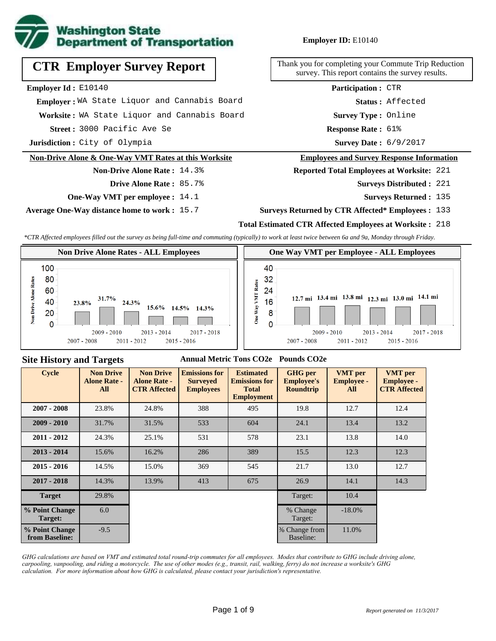

# **CTR Employer Survey Report**

### **Employer Id :** E10140

 **Employer :** WA State Liquor and Cannabis Board

Worksite: WA State Liquor and Cannabis Board

3000 Pacific Ave Se **Response Rate : Street :**

**Jurisdiction :** City of Olympia

### **Non-Drive Alone & One-Way VMT Rates at this Worksite**

# **Non-Drive Alone Rate :** 14.3% **Drive Alone Rate :** 85.7%

- **One-Way VMT per employee :** 14.1
- **Average One-Way distance home to work :** 15.7

### **Employer ID:** E10140

Thank you for completing your Commute Trip Reduction survey. This report contains the survey results.

> **Status :** Affected **Participation :** CTR

**Survey Type :** Online

Response Rate: 61%

Survey Date: 6/9/2017

### **Employees and Survey Response Information**

**Reported Total Employees at Worksite:** 221

- 221 **Surveys Distributed :**
	- **Surveys Returned :** 135

### **Surveys Returned by CTR Affected\* Employees :** 133

### **Total Estimated CTR Affected Employees at Worksite :** 218

*\*CTR Affected employees filled out the survey as being full-time and commuting (typically) to work at least twice between 6a and 9a, Monday through Friday.*



### **Site History and Targets**

### **Annual Metric Tons CO2e Pounds CO2e**

| <b>Cycle</b>                     | <b>Non Drive</b><br><b>Alone Rate -</b><br>All | <b>Non Drive</b><br><b>Alone Rate -</b><br><b>CTR Affected</b> | <b>Emissions for</b><br><b>Surveyed</b><br><b>Employees</b> | <b>Estimated</b><br><b>Emissions for</b><br><b>Total</b><br><b>Employment</b> | <b>GHG</b> per<br><b>Employee's</b><br><b>Roundtrip</b> | <b>VMT</b> per<br><b>Employee -</b><br>All | <b>VMT</b> per<br><b>Employee -</b><br><b>CTR Affected</b> |
|----------------------------------|------------------------------------------------|----------------------------------------------------------------|-------------------------------------------------------------|-------------------------------------------------------------------------------|---------------------------------------------------------|--------------------------------------------|------------------------------------------------------------|
| $2007 - 2008$                    | 23.8%                                          | 24.8%                                                          | 388                                                         | 495                                                                           | 19.8                                                    | 12.7                                       | 12.4                                                       |
| $2009 - 2010$                    | 31.7%                                          | 31.5%                                                          | 533                                                         | 604                                                                           | 24.1                                                    | 13.4                                       | 13.2                                                       |
| $2011 - 2012$                    | 24.3%                                          | 25.1%                                                          | 531                                                         | 578                                                                           | 23.1                                                    | 13.8                                       | 14.0                                                       |
| $2013 - 2014$                    | 15.6%                                          | 16.2%                                                          | 286                                                         | 389                                                                           | 15.5                                                    | 12.3                                       | 12.3                                                       |
| $2015 - 2016$                    | 14.5%                                          | 15.0%                                                          | 369                                                         | 545                                                                           | 21.7                                                    | 13.0                                       | 12.7                                                       |
| $2017 - 2018$                    | 14.3%                                          | 13.9%                                                          | 413                                                         | 675                                                                           | 26.9                                                    | 14.1                                       | 14.3                                                       |
| <b>Target</b>                    | 29.8%                                          |                                                                |                                                             |                                                                               | Target:                                                 | 10.4                                       |                                                            |
| % Point Change<br>Target:        | 6.0                                            |                                                                |                                                             |                                                                               | % Change<br>Target:                                     | $-18.0\%$                                  |                                                            |
| % Point Change<br>from Baseline: | $-9.5$                                         |                                                                |                                                             |                                                                               | % Change from<br>Baseline:                              | 11.0%                                      |                                                            |

*GHG calculations are based on VMT and estimated total round-trip commutes for all employees. Modes that contribute to GHG include driving alone, carpooling, vanpooling, and riding a motorcycle. The use of other modes (e.g., transit, rail, walking, ferry) do not increase a worksite's GHG calculation. For more information about how GHG is calculated, please contact your jurisdiction's representative.*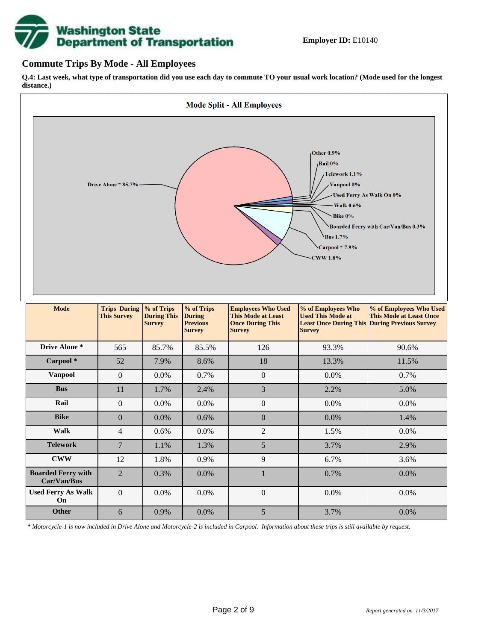# **Washington State<br>Department of Transportation**

# **Commute Trips By Mode - All Employees**

**Q.4: Last week, what type of transportation did you use each day to commute TO your usual work location? (Mode used for the longest distance.)**



*\* Motorcycle-1 is now included in Drive Alone and Motorcycle-2 is included in Carpool. Information about these trips is still available by request.*

**Other** 6 0.9% 0.0% 5 3.7% 0.0%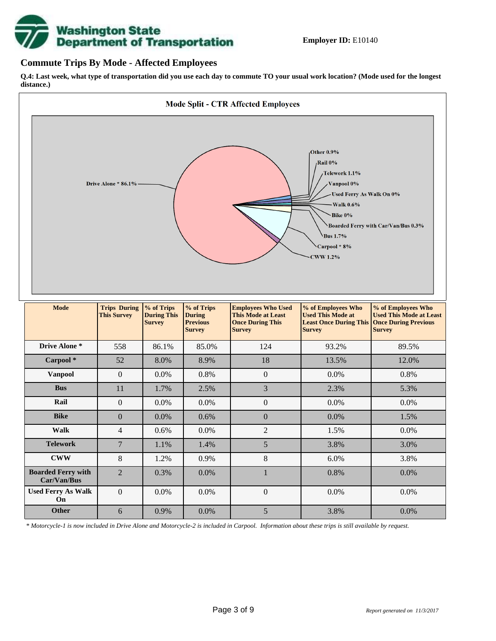

### **Commute Trips By Mode - Affected Employees**

**Q.4: Last week, what type of transportation did you use each day to commute TO your usual work location? (Mode used for the longest distance.)**



*\* Motorcycle-1 is now included in Drive Alone and Motorcycle-2 is included in Carpool. Information about these trips is still available by request.*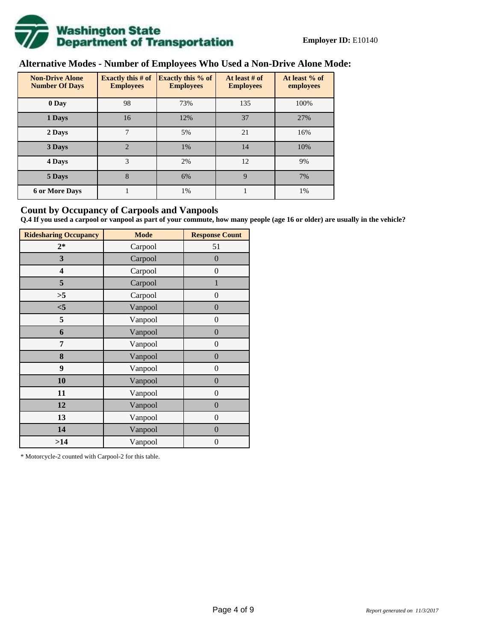

# **Alternative Modes - Number of Employees Who Used a Non-Drive Alone Mode:**

| <b>Non-Drive Alone</b><br><b>Number Of Days</b> | Exactly this $# of$<br><b>Employees</b> | <b>Exactly this % of</b><br><b>Employees</b> | At least # of<br><b>Employees</b> | At least % of<br>employees |
|-------------------------------------------------|-----------------------------------------|----------------------------------------------|-----------------------------------|----------------------------|
| 0 Day                                           | 98                                      | 73%                                          | 135                               | 100%                       |
| 1 Days                                          | 16                                      | 12%                                          | 37                                | 27%                        |
| 2 Days                                          | 7                                       | 5%                                           | 21                                | 16%                        |
| 3 Days                                          | $\overline{2}$                          | 1%                                           | 14                                | 10%                        |
| 4 Days                                          | 3                                       | 2%                                           | 12                                | 9%                         |
| 5 Days                                          | 8                                       | 6%                                           | $\mathbf{Q}$                      | 7%                         |
| <b>6 or More Days</b>                           |                                         | 1%                                           |                                   | 1%                         |

# **Count by Occupancy of Carpools and Vanpools**

**Q.4 If you used a carpool or vanpool as part of your commute, how many people (age 16 or older) are usually in the vehicle?**

| <b>Ridesharing Occupancy</b> | <b>Mode</b> | <b>Response Count</b> |
|------------------------------|-------------|-----------------------|
| $2*$                         | Carpool     | 51                    |
| 3                            | Carpool     | $\overline{0}$        |
| 4                            | Carpool     | $\boldsymbol{0}$      |
| 5                            | Carpool     | $\mathbf{1}$          |
| >5                           | Carpool     | $\overline{0}$        |
| $<$ 5                        | Vanpool     | $\overline{0}$        |
| 5                            | Vanpool     | $\overline{0}$        |
| 6                            | Vanpool     | $\boldsymbol{0}$      |
| 7                            | Vanpool     | $\boldsymbol{0}$      |
| 8                            | Vanpool     | $\overline{0}$        |
| 9                            | Vanpool     | $\overline{0}$        |
| 10                           | Vanpool     | $\overline{0}$        |
| 11                           | Vanpool     | $\boldsymbol{0}$      |
| 12                           | Vanpool     | $\boldsymbol{0}$      |
| 13                           | Vanpool     | $\boldsymbol{0}$      |
| 14                           | Vanpool     | $\overline{0}$        |
| >14                          | Vanpool     | $\boldsymbol{0}$      |

\* Motorcycle-2 counted with Carpool-2 for this table.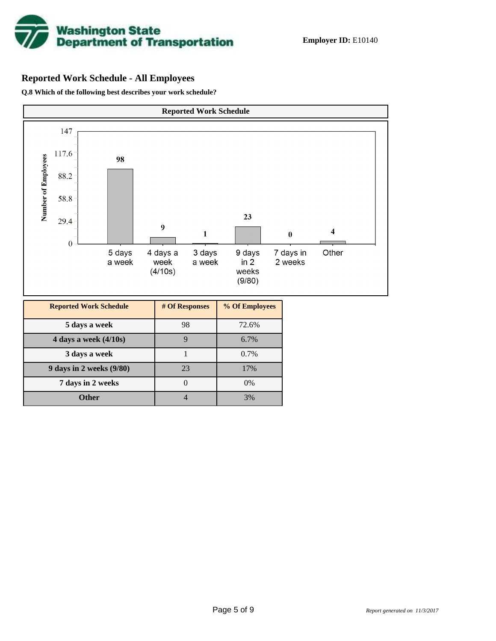

# **Reported Work Schedule - All Employees**

**Q.8 Which of the following best describes your work schedule?**

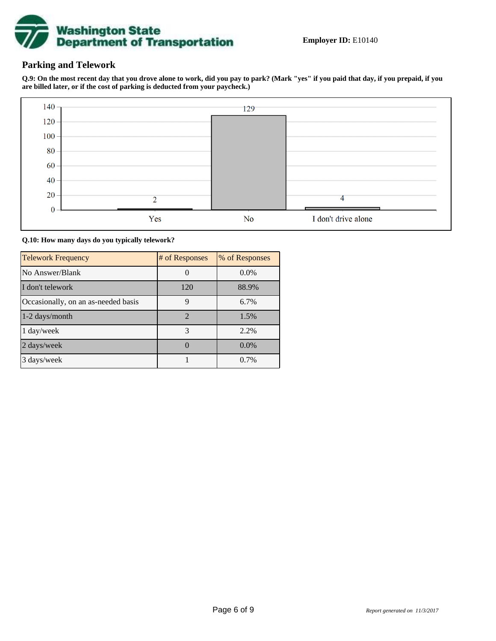

# **Parking and Telework**

**Q.9: On the most recent day that you drove alone to work, did you pay to park? (Mark "yes" if you paid that day, if you prepaid, if you are billed later, or if the cost of parking is deducted from your paycheck.)**



**Q.10: How many days do you typically telework?**

| <b>Telework Frequency</b>           | # of Responses              | % of Responses |
|-------------------------------------|-----------------------------|----------------|
| No Answer/Blank                     |                             | $0.0\%$        |
| I don't telework                    | 120                         | 88.9%          |
| Occasionally, on an as-needed basis | 9                           | 6.7%           |
| $1-2$ days/month                    | $\mathcal{D}_{\mathcal{L}}$ | 1.5%           |
| $1 \text{ day/week}$                | 3                           | 2.2%           |
| 2 days/week                         |                             | 0.0%           |
| 3 days/week                         |                             | 0.7%           |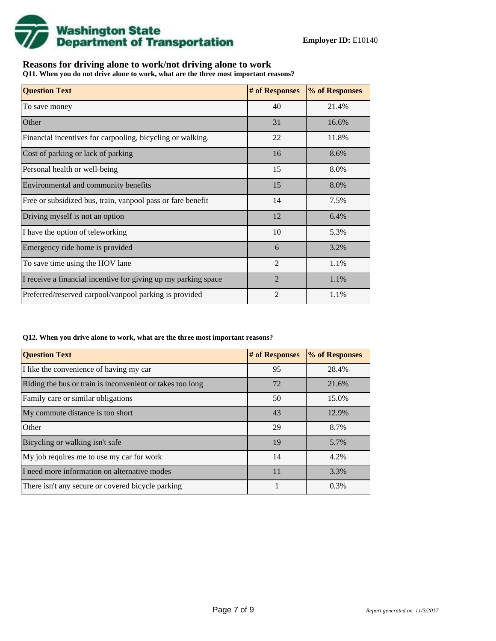

# **Reasons for driving alone to work/not driving alone to work**

**Q11. When you do not drive alone to work, what are the three most important reasons?**

| <b>Question Text</b>                                           | # of Responses | % of Responses |
|----------------------------------------------------------------|----------------|----------------|
| To save money                                                  | 40             | 21.4%          |
| Other                                                          | 31             | 16.6%          |
| Financial incentives for carpooling, bicycling or walking.     | 22             | 11.8%          |
| Cost of parking or lack of parking                             | 16             | 8.6%           |
| Personal health or well-being                                  | 15             | 8.0%           |
| Environmental and community benefits                           | 15             | 8.0%           |
| Free or subsidized bus, train, vanpool pass or fare benefit    | 14             | 7.5%           |
| Driving myself is not an option                                | 12             | 6.4%           |
| I have the option of teleworking                               | 10             | 5.3%           |
| Emergency ride home is provided                                | 6              | 3.2%           |
| To save time using the HOV lane                                | $\overline{2}$ | 1.1%           |
| I receive a financial incentive for giving up my parking space | $\mathfrak{D}$ | 1.1%           |
| Preferred/reserved carpool/vanpool parking is provided         | $\overline{2}$ | 1.1%           |

### **Q12. When you drive alone to work, what are the three most important reasons?**

| <b>Question Text</b>                                      | # of Responses | % of Responses |
|-----------------------------------------------------------|----------------|----------------|
| I like the convenience of having my car                   | 95             | 28.4%          |
| Riding the bus or train is inconvenient or takes too long | 72             | 21.6%          |
| Family care or similar obligations                        | 50             | 15.0%          |
| My commute distance is too short                          | 43             | 12.9%          |
| Other                                                     | 29             | 8.7%           |
| Bicycling or walking isn't safe                           | 19             | 5.7%           |
| My job requires me to use my car for work                 | 14             | 4.2%           |
| I need more information on alternative modes              | 11             | 3.3%           |
| There isn't any secure or covered bicycle parking         |                | 0.3%           |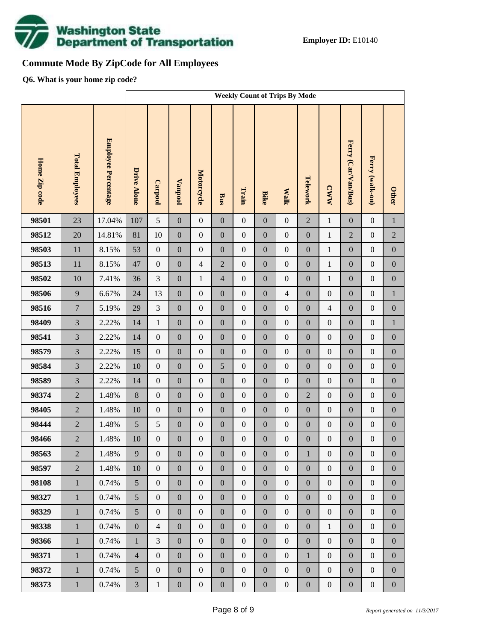

# **Commute Mode By ZipCode for All Employees**

**Q6. What is your home zip code?**

|               |                        |                     | <b>Weekly Count of Trips By Mode</b> |                  |                  |                  |                  |                  |                  |                  |                  |                  |                     |                  |                  |
|---------------|------------------------|---------------------|--------------------------------------|------------------|------------------|------------------|------------------|------------------|------------------|------------------|------------------|------------------|---------------------|------------------|------------------|
| Home Zip code | <b>Total Employees</b> | Employee Percentage | <b>Drive Alone</b>                   | Carpool          | <b>Vanpool</b>   | Motorcycle       | <b>Bus</b>       | Train            | <b>Bike</b>      | <b>Walk</b>      | Telework         | <b>CWW</b>       | Ferry (Car/Van/Bus) | Ferry (walk-on)  | <b>Other</b>     |
| 98501         | 23                     | 17.04%              | 107                                  | 5                | $\boldsymbol{0}$ | $\boldsymbol{0}$ | $\boldsymbol{0}$ | $\boldsymbol{0}$ | $\overline{0}$   | $\boldsymbol{0}$ | $\overline{2}$   | $\,1\,$          | $\mathbf{0}$        | $\boldsymbol{0}$ | $\,1\,$          |
| 98512         | 20                     | 14.81%              | 81                                   | 10               | $\boldsymbol{0}$ | $\boldsymbol{0}$ | $\boldsymbol{0}$ | $\boldsymbol{0}$ | $\boldsymbol{0}$ | $\boldsymbol{0}$ | $\boldsymbol{0}$ | $\,1$            | $\overline{2}$      | $\boldsymbol{0}$ | $\sqrt{2}$       |
| 98503         | 11                     | 8.15%               | 53                                   | $\boldsymbol{0}$ | $\boldsymbol{0}$ | $\boldsymbol{0}$ | $\boldsymbol{0}$ | $\boldsymbol{0}$ | $\boldsymbol{0}$ | $\boldsymbol{0}$ | $\boldsymbol{0}$ | $\,1$            | $\boldsymbol{0}$    | $\boldsymbol{0}$ | $\boldsymbol{0}$ |
| 98513         | 11                     | 8.15%               | 47                                   | $\boldsymbol{0}$ | $\boldsymbol{0}$ | $\overline{4}$   | $\overline{2}$   | $\boldsymbol{0}$ | $\overline{0}$   | $\boldsymbol{0}$ | $\boldsymbol{0}$ | $\mathbf{1}$     | $\boldsymbol{0}$    | $\boldsymbol{0}$ | $\boldsymbol{0}$ |
| 98502         | 10                     | 7.41%               | 36                                   | 3                | $\boldsymbol{0}$ | $\mathbf{1}$     | 4                | $\boldsymbol{0}$ | $\boldsymbol{0}$ | $\boldsymbol{0}$ | $\boldsymbol{0}$ | $\mathbf{1}$     | $\boldsymbol{0}$    | $\boldsymbol{0}$ | $\boldsymbol{0}$ |
| 98506         | 9                      | 6.67%               | 24                                   | 13               | $\boldsymbol{0}$ | $\boldsymbol{0}$ | $\boldsymbol{0}$ | $\boldsymbol{0}$ | $\boldsymbol{0}$ | $\overline{4}$   | $\boldsymbol{0}$ | $\boldsymbol{0}$ | $\boldsymbol{0}$    | $\boldsymbol{0}$ | $\,1$            |
| 98516         | $\tau$                 | 5.19%               | 29                                   | 3                | $\boldsymbol{0}$ | $\boldsymbol{0}$ | $\boldsymbol{0}$ | $\boldsymbol{0}$ | $\boldsymbol{0}$ | $\boldsymbol{0}$ | $\boldsymbol{0}$ | $\overline{4}$   | $\boldsymbol{0}$    | $\boldsymbol{0}$ | $\boldsymbol{0}$ |
| 98409         | $\overline{3}$         | 2.22%               | 14                                   | $\mathbf{1}$     | $\boldsymbol{0}$ | $\boldsymbol{0}$ | $\boldsymbol{0}$ | $\boldsymbol{0}$ | $\overline{0}$   | $\boldsymbol{0}$ | $\boldsymbol{0}$ | $\boldsymbol{0}$ | $\boldsymbol{0}$    | $\boldsymbol{0}$ | $\,1$            |
| 98541         | $\overline{3}$         | 2.22%               | 14                                   | $\boldsymbol{0}$ | $\boldsymbol{0}$ | $\boldsymbol{0}$ | $\boldsymbol{0}$ | $\boldsymbol{0}$ | $\boldsymbol{0}$ | $\boldsymbol{0}$ | $\boldsymbol{0}$ | $\boldsymbol{0}$ | $\boldsymbol{0}$    | $\boldsymbol{0}$ | $\boldsymbol{0}$ |
| 98579         | $\overline{3}$         | 2.22%               | 15                                   | $\boldsymbol{0}$ | $\boldsymbol{0}$ | $\boldsymbol{0}$ | $\boldsymbol{0}$ | $\boldsymbol{0}$ | $\overline{0}$   | $\boldsymbol{0}$ | $\boldsymbol{0}$ | $\boldsymbol{0}$ | $\boldsymbol{0}$    | $\boldsymbol{0}$ | $\boldsymbol{0}$ |
| 98584         | $\overline{3}$         | 2.22%               | 10                                   | $\boldsymbol{0}$ | $\boldsymbol{0}$ | $\boldsymbol{0}$ | 5                | $\boldsymbol{0}$ | $\boldsymbol{0}$ | $\boldsymbol{0}$ | $\boldsymbol{0}$ | $\boldsymbol{0}$ | $\boldsymbol{0}$    | $\boldsymbol{0}$ | $\boldsymbol{0}$ |
| 98589         | $\overline{3}$         | 2.22%               | 14                                   | $\boldsymbol{0}$ | $\boldsymbol{0}$ | $\boldsymbol{0}$ | $\boldsymbol{0}$ | $\boldsymbol{0}$ | $\boldsymbol{0}$ | $\boldsymbol{0}$ | $\boldsymbol{0}$ | $\boldsymbol{0}$ | $\boldsymbol{0}$    | $\boldsymbol{0}$ | $\boldsymbol{0}$ |
| 98374         | $\overline{2}$         | 1.48%               | $8\,$                                | $\boldsymbol{0}$ | $\boldsymbol{0}$ | $\boldsymbol{0}$ | $\boldsymbol{0}$ | $\boldsymbol{0}$ | $\boldsymbol{0}$ | $\boldsymbol{0}$ | $\overline{2}$   | $\boldsymbol{0}$ | $\boldsymbol{0}$    | $\boldsymbol{0}$ | $\boldsymbol{0}$ |
| 98405         | $\overline{2}$         | 1.48%               | 10                                   | $\boldsymbol{0}$ | $\boldsymbol{0}$ | $\boldsymbol{0}$ | $\boldsymbol{0}$ | $\boldsymbol{0}$ | $\overline{0}$   | $\boldsymbol{0}$ | $\boldsymbol{0}$ | $\boldsymbol{0}$ | $\boldsymbol{0}$    | $\boldsymbol{0}$ | $\boldsymbol{0}$ |
| 98444         | $\overline{2}$         | 1.48%               | 5                                    | 5                | $\boldsymbol{0}$ | $\boldsymbol{0}$ | $\boldsymbol{0}$ | $\boldsymbol{0}$ | $\boldsymbol{0}$ | $\boldsymbol{0}$ | $\boldsymbol{0}$ | $\boldsymbol{0}$ | $\boldsymbol{0}$    | $\boldsymbol{0}$ | $\boldsymbol{0}$ |
| 98466         | $\overline{c}$         | 1.48%               | 10                                   | $\boldsymbol{0}$ | $\boldsymbol{0}$ | $\boldsymbol{0}$ | $\boldsymbol{0}$ | $\boldsymbol{0}$ | $\mathbf{0}$     | $\boldsymbol{0}$ | $\boldsymbol{0}$ | $\boldsymbol{0}$ | $\boldsymbol{0}$    | $\boldsymbol{0}$ | $\boldsymbol{0}$ |
| 98563         | $\overline{2}$         | 1.48%               | 9                                    | $\mathbf{0}$     | $\boldsymbol{0}$ | $\boldsymbol{0}$ | $\boldsymbol{0}$ | $\boldsymbol{0}$ | $\boldsymbol{0}$ | $\mathbf{0}$     | $\mathbf{1}$     | $\boldsymbol{0}$ | $\boldsymbol{0}$    | $\boldsymbol{0}$ | $\boldsymbol{0}$ |
| 98597         | $\overline{2}$         | 1.48%               | 10                                   | $\overline{0}$   | $\boldsymbol{0}$ | $\boldsymbol{0}$ | $\boldsymbol{0}$ | $\boldsymbol{0}$ | $\overline{0}$   | $\boldsymbol{0}$ | $\boldsymbol{0}$ | $\boldsymbol{0}$ | $\boldsymbol{0}$    | $\boldsymbol{0}$ | $\overline{0}$   |
| 98108         | $\mathbf{1}$           | 0.74%               | 5                                    | $\boldsymbol{0}$ | $\boldsymbol{0}$ | $\boldsymbol{0}$ | $\boldsymbol{0}$ | $\boldsymbol{0}$ | $\overline{0}$   | $\boldsymbol{0}$ | $\boldsymbol{0}$ | $\boldsymbol{0}$ | $\boldsymbol{0}$    | $\boldsymbol{0}$ | $\boldsymbol{0}$ |
| 98327         | $\mathbf{1}$           | 0.74%               | 5                                    | $\boldsymbol{0}$ | $\boldsymbol{0}$ | $\boldsymbol{0}$ | $\boldsymbol{0}$ | $\boldsymbol{0}$ | $\boldsymbol{0}$ | $\boldsymbol{0}$ | $\boldsymbol{0}$ | $\boldsymbol{0}$ | $\boldsymbol{0}$    | $\boldsymbol{0}$ | $\boldsymbol{0}$ |
| 98329         | $\mathbf{1}$           | 0.74%               | 5                                    | $\boldsymbol{0}$ | $\boldsymbol{0}$ | $\boldsymbol{0}$ | $\boldsymbol{0}$ | $\boldsymbol{0}$ | $\overline{0}$   | $\boldsymbol{0}$ | $\boldsymbol{0}$ | $\boldsymbol{0}$ | $\boldsymbol{0}$    | $\boldsymbol{0}$ | $\boldsymbol{0}$ |
| 98338         | $\mathbf{1}$           | 0.74%               | $\boldsymbol{0}$                     | $\overline{4}$   | $\boldsymbol{0}$ | $\boldsymbol{0}$ | $\boldsymbol{0}$ | $\boldsymbol{0}$ | $\boldsymbol{0}$ | $\boldsymbol{0}$ | $\boldsymbol{0}$ | $\mathbf{1}$     | $\boldsymbol{0}$    | $\boldsymbol{0}$ | $\boldsymbol{0}$ |
| 98366         | $\mathbf{1}$           | 0.74%               | $\mathbf{1}$                         | $\mathfrak{Z}$   | $\boldsymbol{0}$ | $\boldsymbol{0}$ | $\boldsymbol{0}$ | $\boldsymbol{0}$ | $\overline{0}$   | $\boldsymbol{0}$ | $\boldsymbol{0}$ | $\boldsymbol{0}$ | $\boldsymbol{0}$    | $\boldsymbol{0}$ | $\boldsymbol{0}$ |
| 98371         | $\mathbf{1}$           | 0.74%               | $\overline{4}$                       | $\boldsymbol{0}$ | $\boldsymbol{0}$ | $\boldsymbol{0}$ | $\boldsymbol{0}$ | $\boldsymbol{0}$ | $\boldsymbol{0}$ | $\boldsymbol{0}$ | $\mathbf{1}$     | $\boldsymbol{0}$ | $\boldsymbol{0}$    | $\boldsymbol{0}$ | $\boldsymbol{0}$ |
| 98372         | $\mathbf{1}$           | 0.74%               | 5                                    | $\boldsymbol{0}$ | $\boldsymbol{0}$ | $\boldsymbol{0}$ | $\boldsymbol{0}$ | $\boldsymbol{0}$ | $\overline{0}$   | $\boldsymbol{0}$ | $\boldsymbol{0}$ | $\boldsymbol{0}$ | $\boldsymbol{0}$    | $\boldsymbol{0}$ | $\boldsymbol{0}$ |
| 98373         | $1\,$                  | 0.74%               | $\mathfrak{Z}$                       | $\,1$            | $\boldsymbol{0}$ | $\boldsymbol{0}$ | $\boldsymbol{0}$ | $\boldsymbol{0}$ | $\boldsymbol{0}$ | $\boldsymbol{0}$ | $\boldsymbol{0}$ | $\boldsymbol{0}$ | $\boldsymbol{0}$    | $\boldsymbol{0}$ | $\boldsymbol{0}$ |